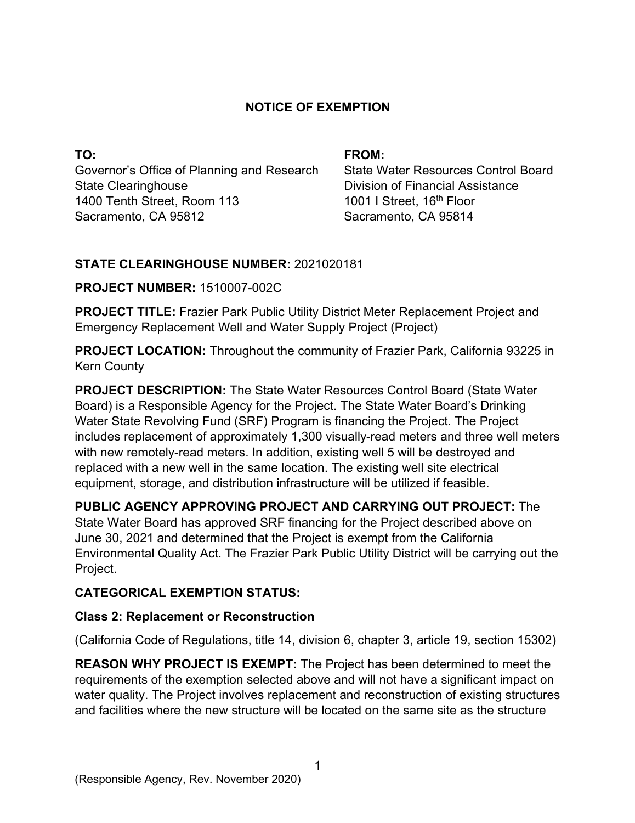## **NOTICE OF EXEMPTION**

**TO:**  Governor's Office of Planning and Research State Clearinghouse 1400 Tenth Street, Room 113 Sacramento, CA 95812

#### **FROM:**

State Water Resources Control Board Division of Financial Assistance 1001 I Street, 16<sup>th</sup> Floor Sacramento, CA 95814

## **STATE CLEARINGHOUSE NUMBER:** 2021020181

### **PROJECT NUMBER:** 1510007-002C

**PROJECT TITLE:** Frazier Park Public Utility District Meter Replacement Project and Emergency Replacement Well and Water Supply Project (Project)

**PROJECT LOCATION:** Throughout the community of Frazier Park, California 93225 in Kern County

**PROJECT DESCRIPTION:** The State Water Resources Control Board (State Water Board) is a Responsible Agency for the Project. The State Water Board's Drinking Water State Revolving Fund (SRF) Program is financing the Project. The Project includes replacement of approximately 1,300 visually-read meters and three well meters with new remotely-read meters. In addition, existing well 5 will be destroyed and replaced with a new well in the same location. The existing well site electrical equipment, storage, and distribution infrastructure will be utilized if feasible.

**PUBLIC AGENCY APPROVING PROJECT AND CARRYING OUT PROJECT:** The State Water Board has approved SRF financing for the Project described above on June 30, 2021 and determined that the Project is exempt from the California Environmental Quality Act. The Frazier Park Public Utility District will be carrying out the Project.

### **CATEGORICAL EXEMPTION STATUS:**

### **Class 2: Replacement or Reconstruction**

(California Code of Regulations, title 14, division 6, chapter 3, article 19, section 15302)

**REASON WHY PROJECT IS EXEMPT:** The Project has been determined to meet the requirements of the exemption selected above and will not have a significant impact on water quality. The Project involves replacement and reconstruction of existing structures and facilities where the new structure will be located on the same site as the structure